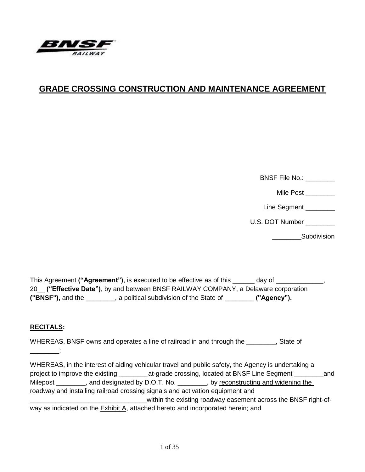

# **GRADE CROSSING CONSTRUCTION AND MAINTENANCE AGREEMENT**

BNSF File No.:

Mile Post

Line Segment \_\_\_\_\_\_\_\_

U.S. DOT Number \_\_\_\_\_\_\_\_

\_\_\_\_\_\_\_\_Subdivision

This Agreement **("Agreement")**, is executed to be effective as of this \_\_\_\_\_\_ day of \_\_\_\_\_\_\_\_\_\_\_\_\_, 20\_\_ **("Effective Date")**, by and between BNSF RAILWAY COMPANY, a Delaware corporation **("BNSF"),** and the \_\_\_\_\_\_\_\_, a political subdivision of the State of \_\_\_\_\_\_\_\_ **("Agency").**

## **RECITALS:**

\_\_\_\_\_\_\_\_;

WHEREAS, BNSF owns and operates a line of railroad in and through the Table 3. State of

WHEREAS, in the interest of aiding vehicular travel and public safety, the Agency is undertaking a project to improve the existing \_\_\_\_\_\_\_\_\_\_\_at-grade crossing, located at BNSF Line Segment \_\_\_\_\_\_\_\_\_\_\_\_and Milepost \_\_\_\_\_\_\_, and designated by D.O.T. No. \_\_\_\_\_\_\_, by reconstructing and widening the roadway and installing railroad crossing signals and activation equipment and \_within the existing roadway easement across the BNSF right-ofway as indicated on the Exhibit A, attached hereto and incorporated herein; and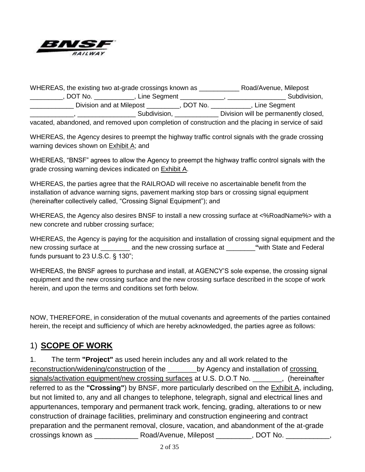

WHEREAS, the existing two at-grade crossings known as \_\_\_\_\_\_\_\_\_\_\_\_\_\_\_\_\_\_\_\_\_\_\_\_\_\_\_ Road/Avenue, Milepost \_\_\_\_\_\_\_\_\_\_, DOT No. \_\_\_\_\_\_\_\_\_\_\_\_, Line Segment \_\_\_\_\_\_\_\_\_\_\_\_\_, \_\_\_\_\_\_\_\_\_\_\_\_\_\_\_\_\_\_\_\_\_Subdivision, \_\_\_\_\_\_\_\_\_\_\_\_ Division and at Milepost \_\_\_\_\_\_\_\_\_, DOT No. \_\_\_\_\_\_\_\_\_\_\_, Line Segment \_\_\_\_\_\_\_\_\_\_\_\_, \_\_\_\_\_\_\_\_\_\_\_\_\_\_\_\_ Subdivision, \_\_\_\_\_\_\_\_\_\_\_\_ Division will be permanently closed, vacated, abandoned, and removed upon completion of construction and the placing in service of said

WHEREAS, the Agency desires to preempt the highway traffic control signals with the grade crossing warning devices shown on Exhibit A; and

WHEREAS, "BNSF" agrees to allow the Agency to preempt the highway traffic control signals with the grade crossing warning devices indicated on Exhibit A.

WHEREAS, the parties agree that the RAILROAD will receive no ascertainable benefit from the installation of advance warning signs, pavement marking stop bars or crossing signal equipment (hereinafter collectively called, "Crossing Signal Equipment"); and

WHEREAS, the Agency also desires BNSF to install a new crossing surface at <%RoadName%> with a new concrete and rubber crossing surface;

WHEREAS, the Agency is paying for the acquisition and installation of crossing signal equipment and the new crossing surface at \_\_\_\_\_\_\_\_ and the new crossing surface at \_\_\_\_\_\_\_\_**"**with State and Federal funds pursuant to 23 U.S.C. § 130";

WHEREAS, the BNSF agrees to purchase and install, at AGENCY'S sole expense, the crossing signal equipment and the new crossing surface and the new crossing surface described in the scope of work herein, and upon the terms and conditions set forth below.

NOW, THEREFORE, in consideration of the mutual covenants and agreements of the parties contained herein, the receipt and sufficiency of which are hereby acknowledged, the parties agree as follows:

# 1) **SCOPE OF WORK**

1. The term **"Project"** as used herein includes any and all work related to the reconstruction/widening/construction of the by Agency and installation of crossing signals/activation equipment/new crossing surfaces at U.S. D.O.T No.  $\qquad \qquad$ , (hereinafter referred to as the **"Crossing"**) by BNSF, more particularly described on the Exhibit A, including, but not limited to, any and all changes to telephone, telegraph, signal and electrical lines and appurtenances, temporary and permanent track work, fencing, grading, alterations to or new construction of drainage facilities, preliminary and construction engineering and contract preparation and the permanent removal, closure, vacation, and abandonment of the at-grade crossings known as \_\_\_\_\_\_\_\_\_\_\_ Road/Avenue, Milepost \_\_\_\_\_\_\_\_\_, DOT No. \_\_\_\_\_\_\_\_\_\_\_,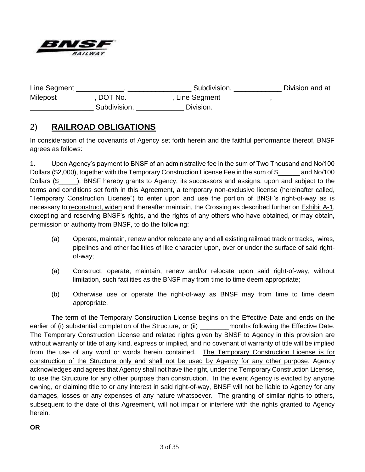

| Line Segment    |              | Subdivision, | Division and at |
|-----------------|--------------|--------------|-----------------|
| <b>Milepost</b> | DOT No.      | Line Segment |                 |
|                 | Subdivision, | Division.    |                 |

# 2) **RAILROAD OBLIGATIONS**

In consideration of the covenants of Agency set forth herein and the faithful performance thereof, BNSF agrees as follows:

1. Upon Agency's payment to BNSF of an administrative fee in the sum of Two Thousand and No/100 Dollars (\$2,000), together with the Temporary Construction License Fee in the sum of \$\_\_\_\_\_\_\_ and No/100 Dollars (\$) Dollars (\$), BNSF hereby grants to Agency, its successors and assigns, upon and subject to the terms and conditions set forth in this Agreement, a temporary non-exclusive license (hereinafter called, "Temporary Construction License") to enter upon and use the portion of BNSF's right-of-way as is necessary to reconstruct, widen and thereafter maintain, the Crossing as described further on Exhibit A-1, excepting and reserving BNSF's rights, and the rights of any others who have obtained, or may obtain, permission or authority from BNSF, to do the following:

- (a) Operate, maintain, renew and/or relocate any and all existing railroad track or tracks, wires, pipelines and other facilities of like character upon, over or under the surface of said rightof-way;
- (a) Construct, operate, maintain, renew and/or relocate upon said right-of-way, without limitation, such facilities as the BNSF may from time to time deem appropriate;
- (b) Otherwise use or operate the right-of-way as BNSF may from time to time deem appropriate.

The term of the Temporary Construction License begins on the Effective Date and ends on the earlier of (i) substantial completion of the Structure, or (ii) entity months following the Effective Date. The Temporary Construction License and related rights given by BNSF to Agency in this provision are without warranty of title of any kind, express or implied, and no covenant of warranty of title will be implied from the use of any word or words herein contained. The Temporary Construction License is for construction of the Structure only and shall not be used by Agency for any other purpose. Agency acknowledges and agrees that Agency shall not have the right, under the Temporary Construction License, to use the Structure for any other purpose than construction. In the event Agency is evicted by anyone owning, or claiming title to or any interest in said right-of-way, BNSF will not be liable to Agency for any damages, losses or any expenses of any nature whatsoever. The granting of similar rights to others, subsequent to the date of this Agreement, will not impair or interfere with the rights granted to Agency herein.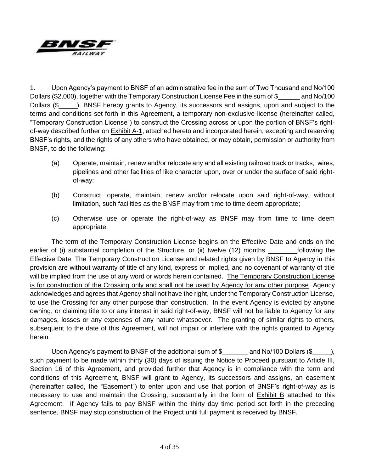

1. Upon Agency's payment to BNSF of an administrative fee in the sum of Two Thousand and No/100 Dollars (\$2,000), together with the Temporary Construction License Fee in the sum of \$ and No/100 Dollars (\$) Dollars (\$) Dollars hereby grants to Agency, its successors and assigns, upon and subject to the terms and conditions set forth in this Agreement, a temporary non-exclusive license (hereinafter called, "Temporary Construction License") to construct the Crossing across or upon the portion of BNSF's rightof-way described further on Exhibit A-1, attached hereto and incorporated herein, excepting and reserving BNSF's rights, and the rights of any others who have obtained, or may obtain, permission or authority from BNSF, to do the following:

- (a) Operate, maintain, renew and/or relocate any and all existing railroad track or tracks, wires, pipelines and other facilities of like character upon, over or under the surface of said rightof-way;
- (b) Construct, operate, maintain, renew and/or relocate upon said right-of-way, without limitation, such facilities as the BNSF may from time to time deem appropriate;
- (c) Otherwise use or operate the right-of-way as BNSF may from time to time deem appropriate.

The term of the Temporary Construction License begins on the Effective Date and ends on the earlier of (i) substantial completion of the Structure, or (ii) twelve (12) months following the Effective Date. The Temporary Construction License and related rights given by BNSF to Agency in this provision are without warranty of title of any kind, express or implied, and no covenant of warranty of title will be implied from the use of any word or words herein contained. The Temporary Construction License is for construction of the Crossing only and shall not be used by Agency for any other purpose. Agency acknowledges and agrees that Agency shall not have the right, under the Temporary Construction License, to use the Crossing for any other purpose than construction. In the event Agency is evicted by anyone owning, or claiming title to or any interest in said right-of-way, BNSF will not be liable to Agency for any damages, losses or any expenses of any nature whatsoever. The granting of similar rights to others, subsequent to the date of this Agreement, will not impair or interfere with the rights granted to Agency herein.

Upon Agency's payment to BNSF of the additional sum of \$ and No/100 Dollars (\$  $\qquad \qquad$  ), such payment to be made within thirty (30) days of issuing the Notice to Proceed pursuant to Article III, Section 16 of this Agreement, and provided further that Agency is in compliance with the term and conditions of this Agreement, BNSF will grant to Agency, its successors and assigns, an easement (hereinafter called, the "Easement") to enter upon and use that portion of BNSF's right-of-way as is necessary to use and maintain the Crossing, substantially in the form of Exhibit B attached to this Agreement. If Agency fails to pay BNSF within the thirty day time period set forth in the preceding sentence, BNSF may stop construction of the Project until full payment is received by BNSF.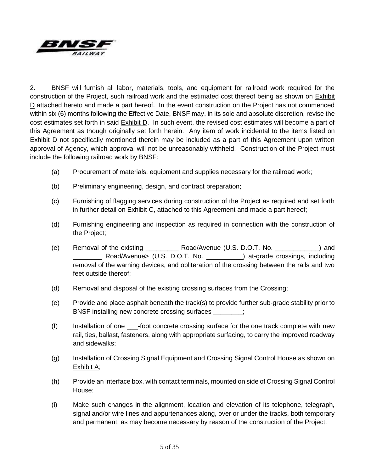

2. BNSF will furnish all labor, materials, tools, and equipment for railroad work required for the construction of the Project, such railroad work and the estimated cost thereof being as shown on Exhibit D attached hereto and made a part hereof. In the event construction on the Project has not commenced within six (6) months following the Effective Date, BNSF may, in its sole and absolute discretion, revise the cost estimates set forth in said Exhibit D. In such event, the revised cost estimates will become a part of this Agreement as though originally set forth herein. Any item of work incidental to the items listed on Exhibit D not specifically mentioned therein may be included as a part of this Agreement upon written approval of Agency, which approval will not be unreasonably withheld. Construction of the Project must include the following railroad work by BNSF:

- (a) Procurement of materials, equipment and supplies necessary for the railroad work;
- (b) Preliminary engineering, design, and contract preparation;
- (c) Furnishing of flagging services during construction of the Project as required and set forth in further detail on **Exhibit C**, attached to this Agreement and made a part hereof;
- (d) Furnishing engineering and inspection as required in connection with the construction of the Project;
- (e) Removal of the existing \_\_\_\_\_\_\_\_\_ Road/Avenue (U.S. D.O.T. No. \_\_\_\_\_\_\_\_\_\_\_\_) and Road/Avenue> (U.S. D.O.T. No. ) at-grade crossings, including removal of the warning devices, and obliteration of the crossing between the rails and two feet outside thereof;
- (d) Removal and disposal of the existing crossing surfaces from the Crossing;
- (e) Provide and place asphalt beneath the track(s) to provide further sub-grade stability prior to BNSF installing new concrete crossing surfaces \_\_\_\_\_\_\_\_;
- (f) Installation of one \_\_\_-foot concrete crossing surface for the one track complete with new rail, ties, ballast, fasteners, along with appropriate surfacing, to carry the improved roadway and sidewalks;
- (g) Installation of Crossing Signal Equipment and Crossing Signal Control House as shown on Exhibit A;
- (h) Provide an interface box, with contact terminals, mounted on side of Crossing Signal Control House;
- (i) Make such changes in the alignment, location and elevation of its telephone, telegraph, signal and/or wire lines and appurtenances along, over or under the tracks, both temporary and permanent, as may become necessary by reason of the construction of the Project.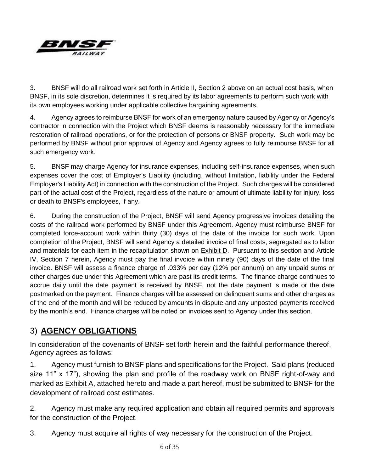

3. BNSF will do all railroad work set forth in Article II, Section 2 above on an actual cost basis, when BNSF, in its sole discretion, determines it is required by its labor agreements to perform such work with its own employees working under applicable collective bargaining agreements.

4. Agency agrees to reimburse BNSF for work of an emergency nature caused by Agency or Agency's contractor in connection with the Project which BNSF deems is reasonably necessary for the immediate restoration of railroad operations, or for the protection of persons or BNSF property. Such work may be performed by BNSF without prior approval of Agency and Agency agrees to fully reimburse BNSF for all such emergency work.

5. BNSF may charge Agency for insurance expenses, including self-insurance expenses, when such expenses cover the cost of Employer's Liability (including, without limitation, liability under the Federal Employer's Liability Act) in connection with the construction of the Project. Such charges will be considered part of the actual cost of the Project, regardless of the nature or amount of ultimate liability for injury, loss or death to BNSF's employees, if any.

6. During the construction of the Project, BNSF will send Agency progressive invoices detailing the costs of the railroad work performed by BNSF under this Agreement. Agency must reimburse BNSF for completed force-account work within thirty (30) days of the date of the invoice for such work. Upon completion of the Project, BNSF will send Agency a detailed invoice of final costs, segregated as to labor and materials for each item in the recapitulation shown on Exhibit D. Pursuant to this section and Article IV, Section 7 herein, Agency must pay the final invoice within ninety (90) days of the date of the final invoice. BNSF will assess a finance charge of .033% per day (12% per annum) on any unpaid sums or other charges due under this Agreement which are past its credit terms. The finance charge continues to accrue daily until the date payment is received by BNSF, not the date payment is made or the date postmarked on the payment. Finance charges will be assessed on delinquent sums and other charges as of the end of the month and will be reduced by amounts in dispute and any unposted payments received by the month's end. Finance charges will be noted on invoices sent to Agency under this section.

# 3) **AGENCY OBLIGATIONS**

In consideration of the covenants of BNSF set forth herein and the faithful performance thereof, Agency agrees as follows:

1. Agency must furnish to BNSF plans and specifications for the Project. Said plans (reduced size 11" x 17"), showing the plan and profile of the roadway work on BNSF right-of-way and marked as Exhibit A, attached hereto and made a part hereof, must be submitted to BNSF for the development of railroad cost estimates.

2. Agency must make any required application and obtain all required permits and approvals for the construction of the Project.

3. Agency must acquire all rights of way necessary for the construction of the Project.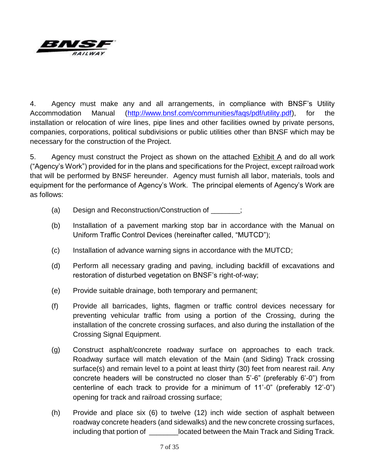

4. Agency must make any and all arrangements, in compliance with BNSF's Utility Accommodation Manual [\(http://www.bnsf.com/communities/faqs/pdf/utility.pdf\)](http://www.bnsf.com/communities/faqs/pdf/utility.pdf), for the installation or relocation of wire lines, pipe lines and other facilities owned by private persons, companies, corporations, political subdivisions or public utilities other than BNSF which may be necessary for the construction of the Project.

5. Agency must construct the Project as shown on the attached Exhibit A and do all work ("Agency's Work") provided for in the plans and specifications for the Project, except railroad work that will be performed by BNSF hereunder. Agency must furnish all labor, materials, tools and equipment for the performance of Agency's Work. The principal elements of Agency's Work are as follows:

- (a) Design and Reconstruction/Construction of \_\_\_\_\_\_\_;
- (b) Installation of a pavement marking stop bar in accordance with the Manual on Uniform Traffic Control Devices (hereinafter called, "MUTCD");
- (c) Installation of advance warning signs in accordance with the MUTCD;
- (d) Perform all necessary grading and paving, including backfill of excavations and restoration of disturbed vegetation on BNSF's right-of-way;
- (e) Provide suitable drainage, both temporary and permanent;
- (f) Provide all barricades, lights, flagmen or traffic control devices necessary for preventing vehicular traffic from using a portion of the Crossing, during the installation of the concrete crossing surfaces, and also during the installation of the Crossing Signal Equipment.
- (g) Construct asphalt/concrete roadway surface on approaches to each track. Roadway surface will match elevation of the Main (and Siding) Track crossing surface(s) and remain level to a point at least thirty (30) feet from nearest rail. Any concrete headers will be constructed no closer than 5'-6" (preferably 6'-0") from centerline of each track to provide for a minimum of 11'-0" (preferably 12'-0") opening for track and railroad crossing surface;
- (h) Provide and place six (6) to twelve (12) inch wide section of asphalt between roadway concrete headers (and sidewalks) and the new concrete crossing surfaces, including that portion of \_\_\_\_\_\_\_\_located between the Main Track and Siding Track.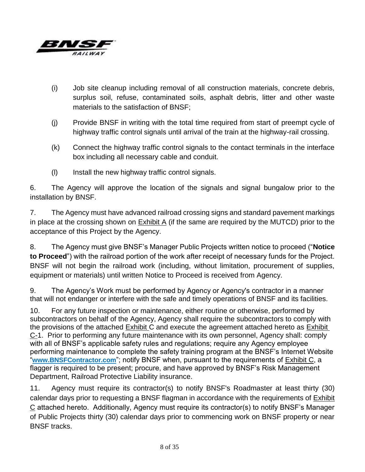

- (i) Job site cleanup including removal of all construction materials, concrete debris, surplus soil, refuse, contaminated soils, asphalt debris, litter and other waste materials to the satisfaction of BNSF;
- (j) Provide BNSF in writing with the total time required from start of preempt cycle of highway traffic control signals until arrival of the train at the highway-rail crossing.
- (k) Connect the highway traffic control signals to the contact terminals in the interface box including all necessary cable and conduit.
- (l) Install the new highway traffic control signals.

6. The Agency will approve the location of the signals and signal bungalow prior to the installation by BNSF.

7. The Agency must have advanced railroad crossing signs and standard pavement markings in place at the crossing shown on  $Exhibit A$  (if the same are required by the MUTCD) prior to the acceptance of this Project by the Agency.

8. The Agency must give BNSF's Manager Public Projects written notice to proceed ("**Notice to Proceed**") with the railroad portion of the work after receipt of necessary funds for the Project. BNSF will not begin the railroad work (including, without limitation, procurement of supplies, equipment or materials) until written Notice to Proceed is received from Agency.

9. The Agency's Work must be performed by Agency or Agency's contractor in a manner that will not endanger or interfere with the safe and timely operations of BNSF and its facilities.

10. For any future inspection or maintenance, either routine or otherwise, performed by subcontractors on behalf of the Agency, Agency shall require the subcontractors to comply with the provisions of the attached Exhibit C and execute the agreement attached hereto as Exhibit C-1. Prior to performing any future maintenance with its own personnel, Agency shall: comply with all of BNSF's applicable safety rules and regulations; require any Agency employee performing maintenance to complete the safety training program at the BNSF's Internet Website "**www.BNSFContractor.com**"; notify BNSF when, pursuant to the requirements of Exhibit C, a flagger is required to be present; procure, and have approved by BNSF's Risk Management Department, Railroad Protective Liability insurance.

11. Agency must require its contractor(s) to notify BNSF's Roadmaster at least thirty (30) calendar days prior to requesting a BNSF flagman in accordance with the requirements of Exhibit C attached hereto. Additionally, Agency must require its contractor(s) to notify BNSF's Manager of Public Projects thirty (30) calendar days prior to commencing work on BNSF property or near BNSF tracks.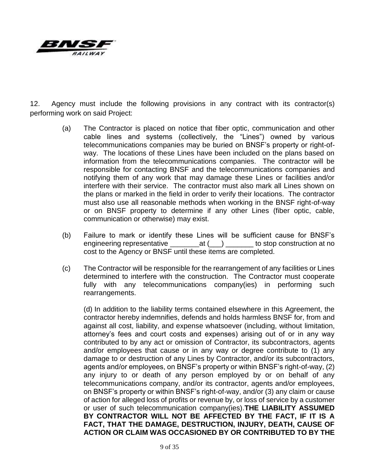

12. Agency must include the following provisions in any contract with its contractor(s) performing work on said Project:

- (a) The Contractor is placed on notice that fiber optic, communication and other cable lines and systems (collectively, the "Lines") owned by various telecommunications companies may be buried on BNSF's property or right-ofway. The locations of these Lines have been included on the plans based on information from the telecommunications companies. The contractor will be responsible for contacting BNSF and the telecommunications companies and notifying them of any work that may damage these Lines or facilities and/or interfere with their service. The contractor must also mark all Lines shown on the plans or marked in the field in order to verify their locations. The contractor must also use all reasonable methods when working in the BNSF right-of-way or on BNSF property to determine if any other Lines (fiber optic, cable, communication or otherwise) may exist.
- (b) Failure to mark or identify these Lines will be sufficient cause for BNSF's engineering representative \_\_\_\_\_\_\_\_\_\_\_\_at (\_\_\_) \_\_\_\_\_\_\_\_ to stop construction at no cost to the Agency or BNSF until these items are completed.
- (c) The Contractor will be responsible for the rearrangement of any facilities or Lines determined to interfere with the construction. The Contractor must cooperate fully with any telecommunications company(ies) in performing such rearrangements.

(d) In addition to the liability terms contained elsewhere in this Agreement, the contractor hereby indemnifies, defends and holds harmless BNSF for, from and against all cost, liability, and expense whatsoever (including, without limitation, attorney's fees and court costs and expenses) arising out of or in any way contributed to by any act or omission of Contractor, its subcontractors, agents and/or employees that cause or in any way or degree contribute to (1) any damage to or destruction of any Lines by Contractor, and/or its subcontractors, agents and/or employees, on BNSF's property or within BNSF's right-of-way, (2) any injury to or death of any person employed by or on behalf of any telecommunications company, and/or its contractor, agents and/or employees, on BNSF's property or within BNSF's right-of-way, and/or (3) any claim or cause of action for alleged loss of profits or revenue by, or loss of service by a customer or user of such telecommunication company(ies).**THE LIABILITY ASSUMED BY CONTRACTOR WILL NOT BE AFFECTED BY THE FACT, IF IT IS A FACT, THAT THE DAMAGE, DESTRUCTION, INJURY, DEATH, CAUSE OF ACTION OR CLAIM WAS OCCASIONED BY OR CONTRIBUTED TO BY THE**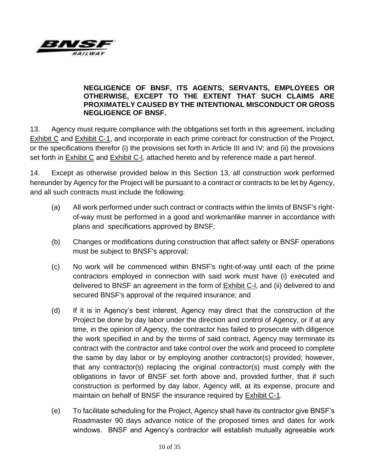

## **NEGLIGENCE OF BNSF, ITS AGENTS, SERVANTS, EMPLOYEES OR OTHERWISE, EXCEPT TO THE EXTENT THAT SUCH CLAIMS ARE PROXIMATELY CAUSED BY THE INTENTIONAL MISCONDUCT OR GROSS NEGLIGENCE OF BNSF.**

13. Agency must require compliance with the obligations set forth in this agreement, including Exhibit C and Exhibit C-1, and incorporate in each prime contract for construction of the Project, or the specifications therefor (i) the provisions set forth in Article III and IV; and (ii) the provisions set forth in Exhibit C and Exhibit C-l, attached hereto and by reference made a part hereof.

14. Except as otherwise provided below in this Section 13, all construction work performed hereunder by Agency for the Project will be pursuant to a contract or contracts to be let by Agency, and all such contracts must include the following:

- (a) All work performed under such contract or contracts within the limits of BNSF's rightof-way must be performed in a good and workmanlike manner in accordance with plans and specifications approved by BNSF;
- (b) Changes or modifications during construction that affect safety or BNSF operations must be subject to BNSF's approval;
- (c) No work will be commenced within BNSF's right-of-way until each of the prime contractors employed in connection with said work must have (i) executed and delivered to BNSF an agreement in the form of Exhibit C-l, and (ii) delivered to and secured BNSF's approval of the required insurance; and
- (d) If it is in Agency's best interest, Agency may direct that the construction of the Project be done by day labor under the direction and control of Agency, or if at any time, in the opinion of Agency, the contractor has failed to prosecute with diligence the work specified in and by the terms of said contract, Agency may terminate its contract with the contractor and take control over the work and proceed to complete the same by day labor or by employing another contractor(s) provided; however, that any contractor(s) replacing the original contractor(s) must comply with the obligations in favor of BNSF set forth above and, provided further, that if such construction is performed by day labor, Agency will, at its expense, procure and maintain on behalf of BNSF the insurance required by Exhibit C-1.
- (e) To facilitate scheduling for the Project, Agency shall have its contractor give BNSF's Roadmaster 90 days advance notice of the proposed times and dates for work windows. BNSF and Agency's contractor will establish mutually agreeable work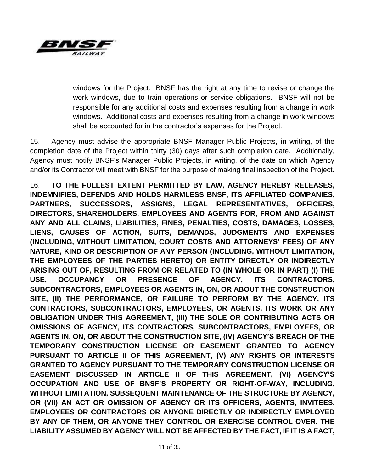

windows for the Project. BNSF has the right at any time to revise or change the work windows, due to train operations or service obligations. BNSF will not be responsible for any additional costs and expenses resulting from a change in work windows. Additional costs and expenses resulting from a change in work windows shall be accounted for in the contractor's expenses for the Project.

15. Agency must advise the appropriate BNSF Manager Public Projects, in writing, of the completion date of the Project within thirty (30) days after such completion date. Additionally, Agency must notify BNSF's Manager Public Projects, in writing, of the date on which Agency and/or its Contractor will meet with BNSF for the purpose of making final inspection of the Project.

16. **TO THE FULLEST EXTENT PERMITTED BY LAW, AGENCY HEREBY RELEASES, INDEMNIFIES, DEFENDS AND HOLDS HARMLESS BNSF, ITS AFFILIATED COMPANIES, PARTNERS, SUCCESSORS, ASSIGNS, LEGAL REPRESENTATIVES, OFFICERS, DIRECTORS, SHAREHOLDERS, EMPLOYEES AND AGENTS FOR, FROM AND AGAINST ANY AND ALL CLAIMS, LIABILITIES, FINES, PENALTIES, COSTS, DAMAGES, LOSSES, LIENS, CAUSES OF ACTION, SUITS, DEMANDS, JUDGMENTS AND EXPENSES (INCLUDING, WITHOUT LIMITATION, COURT COSTS AND ATTORNEYS' FEES) OF ANY NATURE, KIND OR DESCRIPTION OF ANY PERSON (INCLUDING, WITHOUT LIMITATION, THE EMPLOYEES OF THE PARTIES HERETO) OR ENTITY DIRECTLY OR INDIRECTLY ARISING OUT OF, RESULTING FROM OR RELATED TO (IN WHOLE OR IN PART) (I) THE USE, OCCUPANCY OR PRESENCE OF AGENCY, ITS CONTRACTORS, SUBCONTRACTORS, EMPLOYEES OR AGENTS IN, ON, OR ABOUT THE CONSTRUCTION SITE, (II) THE PERFORMANCE, OR FAILURE TO PERFORM BY THE AGENCY, ITS CONTRACTORS, SUBCONTRACTORS, EMPLOYEES, OR AGENTS, ITS WORK OR ANY OBLIGATION UNDER THIS AGREEMENT, (III) THE SOLE OR CONTRIBUTING ACTS OR OMISSIONS OF AGENCY, ITS CONTRACTORS, SUBCONTRACTORS, EMPLOYEES, OR AGENTS IN, ON, OR ABOUT THE CONSTRUCTION SITE, (IV) AGENCY'S BREACH OF THE TEMPORARY CONSTRUCTION LICENSE OR EASEMENT GRANTED TO AGENCY PURSUANT TO ARTICLE II OF THIS AGREEMENT, (V) ANY RIGHTS OR INTERESTS GRANTED TO AGENCY PURSUANT TO THE TEMPORARY CONSTRUCTION LICENSE OR EASEMENT DISCUSSED IN ARTICLE II OF THIS AGREEMENT, (VI) AGENCY'S OCCUPATION AND USE OF BNSF'S PROPERTY OR RIGHT-OF-WAY, INCLUDING, WITHOUT LIMITATION, SUBSEQUENT MAINTENANCE OF THE STRUCTURE BY AGENCY, OR (VII) AN ACT OR OMISSION OF AGENCY OR ITS OFFICERS, AGENTS, INVITEES, EMPLOYEES OR CONTRACTORS OR ANYONE DIRECTLY OR INDIRECTLY EMPLOYED BY ANY OF THEM, OR ANYONE THEY CONTROL OR EXERCISE CONTROL OVER. THE LIABILITY ASSUMED BY AGENCY WILL NOT BE AFFECTED BY THE FACT, IF IT IS A FACT,**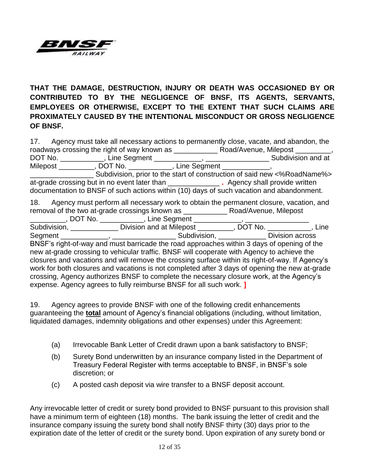

**THAT THE DAMAGE, DESTRUCTION, INJURY OR DEATH WAS OCCASIONED BY OR CONTRIBUTED TO BY THE NEGLIGENCE OF BNSF, ITS AGENTS, SERVANTS, EMPLOYEES OR OTHERWISE, EXCEPT TO THE EXTENT THAT SUCH CLAIMS ARE PROXIMATELY CAUSED BY THE INTENTIONAL MISCONDUCT OR GROSS NEGLIGENCE OF BNSF.** 

| 17. Agency must take all necessary actions to permanently close, vacate, and abandon, the        |  |  |
|--------------------------------------------------------------------------------------------------|--|--|
|                                                                                                  |  |  |
|                                                                                                  |  |  |
| Milepost _________, DOT No. __________, Line Segment ___________,                                |  |  |
| Subdivision, prior to the start of construction of said new <%RoadName%>                         |  |  |
|                                                                                                  |  |  |
| documentation to BNSF of such actions within (10) days of such vacation and abandonment.         |  |  |
| 18. Agency must perform all necessary work to obtain the permanent closure, vacation, and        |  |  |
|                                                                                                  |  |  |
| __________, DOT No. ___________, Line Segment ____________, _____                                |  |  |
| Subdivision, _______________ Division and at Milepost _________, DOT No. ___________, Line       |  |  |
|                                                                                                  |  |  |
| BNSF's right-of-way and must barricade the road approaches within 3 days of opening of the       |  |  |
| new at-grade crossing to vehicular traffic. BNSF will cooperate with Agency to achieve the       |  |  |
| closures and vacations and will remove the crossing surface within its right-of-way. If Agency's |  |  |
| work for both closures and vacations is not completed after 3 days of opening the new at-grade   |  |  |
| crossing, Agency authorizes BNSF to complete the necessary closure work, at the Agency's         |  |  |
| expense. Agency agrees to fully reimburse BNSF for all such work. ]                              |  |  |

19. Agency agrees to provide BNSF with one of the following credit enhancements guaranteeing the **total** amount of Agency's financial obligations (including, without limitation, liquidated damages, indemnity obligations and other expenses) under this Agreement:

- (a) Irrevocable Bank Letter of Credit drawn upon a bank satisfactory to BNSF;
- (b) Surety Bond underwritten by an insurance company listed in the Department of Treasury Federal Register with terms acceptable to BNSF, in BNSF's sole discretion; or
- (c) A posted cash deposit via wire transfer to a BNSF deposit account.

Any irrevocable letter of credit or surety bond provided to BNSF pursuant to this provision shall have a minimum term of eighteen (18) months. The bank issuing the letter of credit and the insurance company issuing the surety bond shall notify BNSF thirty (30) days prior to the expiration date of the letter of credit or the surety bond. Upon expiration of any surety bond or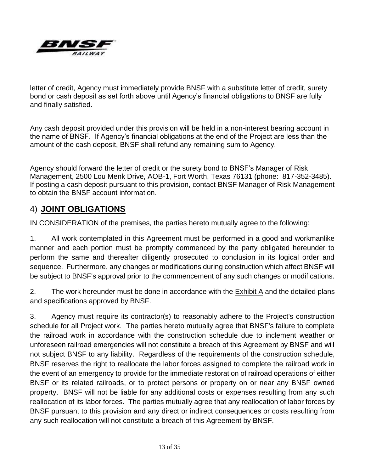

letter of credit, Agency must immediately provide BNSF with a substitute letter of credit, surety bond or cash deposit as set forth above until Agency's financial obligations to BNSF are fully and finally satisfied.

Any cash deposit provided under this provision will be held in a non-interest bearing account in the name of BNSF. If Agency's financial obligations at the end of the Project are less than the amount of the cash deposit, BNSF shall refund any remaining sum to Agency.

Agency should forward the letter of credit or the surety bond to BNSF's Manager of Risk Management, 2500 Lou Menk Drive, AOB-1, Fort Worth, Texas 76131 (phone: 817-352-3485). If posting a cash deposit pursuant to this provision, contact BNSF Manager of Risk Management to obtain the BNSF account information.

# 4) **JOINT OBLIGATIONS**

IN CONSIDERATION of the premises, the parties hereto mutually agree to the following:

1. All work contemplated in this Agreement must be performed in a good and workmanlike manner and each portion must be promptly commenced by the party obligated hereunder to perform the same and thereafter diligently prosecuted to conclusion in its logical order and sequence. Furthermore, any changes or modifications during construction which affect BNSF will be subject to BNSF's approval prior to the commencement of any such changes or modifications.

2. The work hereunder must be done in accordance with the Exhibit A and the detailed plans and specifications approved by BNSF.

3. Agency must require its contractor(s) to reasonably adhere to the Project's construction schedule for all Project work. The parties hereto mutually agree that BNSF's failure to complete the railroad work in accordance with the construction schedule due to inclement weather or unforeseen railroad emergencies will not constitute a breach of this Agreement by BNSF and will not subject BNSF to any liability. Regardless of the requirements of the construction schedule, BNSF reserves the right to reallocate the labor forces assigned to complete the railroad work in the event of an emergency to provide for the immediate restoration of railroad operations of either BNSF or its related railroads, or to protect persons or property on or near any BNSF owned property. BNSF will not be liable for any additional costs or expenses resulting from any such reallocation of its labor forces. The parties mutually agree that any reallocation of labor forces by BNSF pursuant to this provision and any direct or indirect consequences or costs resulting from any such reallocation will not constitute a breach of this Agreement by BNSF.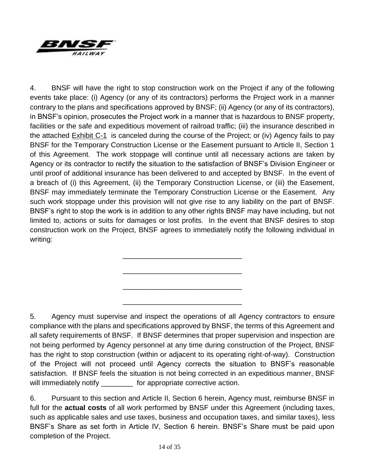

4. BNSF will have the right to stop construction work on the Project if any of the following events take place: (i) Agency (or any of its contractors) performs the Project work in a manner contrary to the plans and specifications approved by BNSF; (ii) Agency (or any of its contractors), in BNSF's opinion, prosecutes the Project work in a manner that is hazardous to BNSF property, facilities or the safe and expeditious movement of railroad traffic; (iii) the insurance described in the attached Exhibit C-1 is canceled during the course of the Project; or (iv) Agency fails to pay BNSF for the Temporary Construction License or the Easement pursuant to Article II, Section 1 of this Agreement. The work stoppage will continue until all necessary actions are taken by Agency or its contractor to rectify the situation to the satisfaction of BNSF's Division Engineer or until proof of additional insurance has been delivered to and accepted by BNSF. In the event of a breach of (i) this Agreement, (ii) the Temporary Construction License, or (iii) the Easement, BNSF may immediately terminate the Temporary Construction License or the Easement. Any such work stoppage under this provision will not give rise to any liability on the part of BNSF. BNSF's right to stop the work is in addition to any other rights BNSF may have including, but not limited to, actions or suits for damages or lost profits. In the event that BNSF desires to stop construction work on the Project, BNSF agrees to immediately notify the following individual in writing:

\_\_\_\_\_\_\_\_\_\_\_\_\_\_\_\_\_\_\_\_\_\_\_\_\_\_\_\_\_\_

\_\_\_\_\_\_\_\_\_\_\_\_\_\_\_\_\_\_\_\_\_\_\_\_\_\_\_\_\_\_

\_\_\_\_\_\_\_\_\_\_\_\_\_\_\_\_\_\_\_\_\_\_\_\_\_\_\_\_\_\_

\_\_\_\_\_\_\_\_\_\_\_\_\_\_\_\_\_\_\_\_\_\_\_\_\_\_\_\_\_\_

5. Agency must supervise and inspect the operations of all Agency contractors to ensure compliance with the plans and specifications approved by BNSF, the terms of this Agreement and all safety requirements of BNSF. If BNSF determines that proper supervision and inspection are not being performed by Agency personnel at any time during construction of the Project, BNSF has the right to stop construction (within or adjacent to its operating right-of-way). Construction of the Project will not proceed until Agency corrects the situation to BNSF's reasonable satisfaction. If BNSF feels the situation is not being corrected in an expeditious manner, BNSF will immediately notify \_\_\_\_\_\_\_\_ for appropriate corrective action.

6. Pursuant to this section and Article II, Section 6 herein, Agency must, reimburse BNSF in full for the **actual costs** of all work performed by BNSF under this Agreement (including taxes, such as applicable sales and use taxes, business and occupation taxes, and similar taxes), less BNSF's Share as set forth in Article IV, Section 6 herein. BNSF's Share must be paid upon completion of the Project.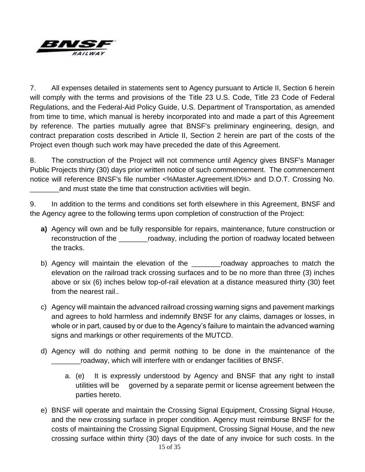

7. All expenses detailed in statements sent to Agency pursuant to Article II, Section 6 herein will comply with the terms and provisions of the Title 23 U.S. Code, Title 23 Code of Federal Regulations, and the Federal-Aid Policy Guide, U.S. Department of Transportation, as amended from time to time, which manual is hereby incorporated into and made a part of this Agreement by reference. The parties mutually agree that BNSF's preliminary engineering, design, and contract preparation costs described in Article II, Section 2 herein are part of the costs of the Project even though such work may have preceded the date of this Agreement.

8. The construction of the Project will not commence until Agency gives BNSF's Manager Public Projects thirty (30) days prior written notice of such commencement. The commencement notice will reference BNSF's file number <%Master.Agreement.ID%> and D.O.T. Crossing No. \_\_\_\_\_\_\_\_and must state the time that construction activities will begin.

9. In addition to the terms and conditions set forth elsewhere in this Agreement, BNSF and the Agency agree to the following terms upon completion of construction of the Project:

- **a)** Agency will own and be fully responsible for repairs, maintenance, future construction or reconstruction of the \_\_\_\_\_\_\_\_roadway, including the portion of roadway located between the tracks.
- b) Agency will maintain the elevation of the <u>comecanor</u> roadway approaches to match the elevation on the railroad track crossing surfaces and to be no more than three (3) inches above or six (6) inches below top-of-rail elevation at a distance measured thirty (30) feet from the nearest rail..
- c) Agency will maintain the advanced railroad crossing warning signs and pavement markings and agrees to hold harmless and indemnify BNSF for any claims, damages or losses, in whole or in part, caused by or due to the Agency's failure to maintain the advanced warning signs and markings or other requirements of the MUTCD.
- d) Agency will do nothing and permit nothing to be done in the maintenance of the \_\_\_\_\_\_\_\_roadway, which will interfere with or endanger facilities of BNSF.
	- a. (e) It is expressly understood by Agency and BNSF that any right to install utilities will be governed by a separate permit or license agreement between the parties hereto.
- e) BNSF will operate and maintain the Crossing Signal Equipment, Crossing Signal House, and the new crossing surface in proper condition. Agency must reimburse BNSF for the costs of maintaining the Crossing Signal Equipment, Crossing Signal House, and the new crossing surface within thirty (30) days of the date of any invoice for such costs. In the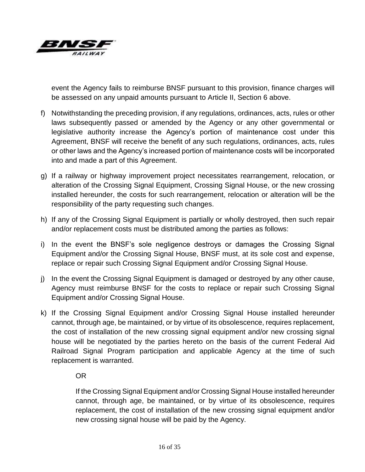

event the Agency fails to reimburse BNSF pursuant to this provision, finance charges will be assessed on any unpaid amounts pursuant to Article II, Section 6 above.

- f) Notwithstanding the preceding provision, if any regulations, ordinances, acts, rules or other laws subsequently passed or amended by the Agency or any other governmental or legislative authority increase the Agency's portion of maintenance cost under this Agreement, BNSF will receive the benefit of any such regulations, ordinances, acts, rules or other laws and the Agency's increased portion of maintenance costs will be incorporated into and made a part of this Agreement.
- g) If a railway or highway improvement project necessitates rearrangement, relocation, or alteration of the Crossing Signal Equipment, Crossing Signal House, or the new crossing installed hereunder, the costs for such rearrangement, relocation or alteration will be the responsibility of the party requesting such changes.
- h) If any of the Crossing Signal Equipment is partially or wholly destroyed, then such repair and/or replacement costs must be distributed among the parties as follows:
- i) In the event the BNSF's sole negligence destroys or damages the Crossing Signal Equipment and/or the Crossing Signal House, BNSF must, at its sole cost and expense, replace or repair such Crossing Signal Equipment and/or Crossing Signal House.
- j) In the event the Crossing Signal Equipment is damaged or destroyed by any other cause, Agency must reimburse BNSF for the costs to replace or repair such Crossing Signal Equipment and/or Crossing Signal House.
- k) If the Crossing Signal Equipment and/or Crossing Signal House installed hereunder cannot, through age, be maintained, or by virtue of its obsolescence, requires replacement, the cost of installation of the new crossing signal equipment and/or new crossing signal house will be negotiated by the parties hereto on the basis of the current Federal Aid Railroad Signal Program participation and applicable Agency at the time of such replacement is warranted.

## OR

If the Crossing Signal Equipment and/or Crossing Signal House installed hereunder cannot, through age, be maintained, or by virtue of its obsolescence, requires replacement, the cost of installation of the new crossing signal equipment and/or new crossing signal house will be paid by the Agency.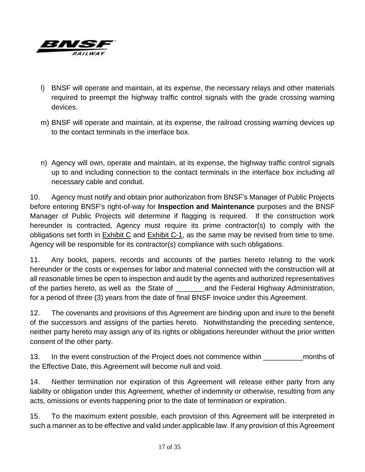

- l) BNSF will operate and maintain, at its expense, the necessary relays and other materials required to preempt the highway traffic control signals with the grade crossing warning devices.
- m) BNSF will operate and maintain, at its expense, the railroad crossing warning devices up to the contact terminals in the interface box.
- n) Agency will own, operate and maintain, at its expense, the highway traffic control signals up to and including connection to the contact terminals in the interface box including all necessary cable and conduit.

10. Agency must notify and obtain prior authorization from BNSF's Manager of Public Projects before entering BNSF's right-of-way for **Inspection and Maintenance** purposes and the BNSF Manager of Public Projects will determine if flagging is required. If the construction work hereunder is contracted, Agency must require its prime contractor(s) to comply with the obligations set forth in Exhibit C and Exhibit C-1, as the same may be revised from time to time. Agency will be responsible for its contractor(s) compliance with such obligations.

11. Any books, papers, records and accounts of the parties hereto relating to the work hereunder or the costs or expenses for labor and material connected with the construction will at all reasonable times be open to inspection and audit by the agents and authorized representatives of the parties hereto, as well as the State of **Figure 20** and the Federal Highway Administration, for a period of three (3) years from the date of final BNSF invoice under this Agreement.

12. The covenants and provisions of this Agreement are binding upon and inure to the benefit of the successors and assigns of the parties hereto. Notwithstanding the preceding sentence, neither party hereto may assign any of its rights or obligations hereunder without the prior written consent of the other party.

13. In the event construction of the Project does not commence within \_\_\_\_\_\_\_\_\_\_months of the Effective Date, this Agreement will become null and void.

14. Neither termination nor expiration of this Agreement will release either party from any liability or obligation under this Agreement, whether of indemnity or otherwise, resulting from any acts, omissions or events happening prior to the date of termination or expiration.

15. To the maximum extent possible, each provision of this Agreement will be interpreted in such a manner as to be effective and valid under applicable law. If any provision of this Agreement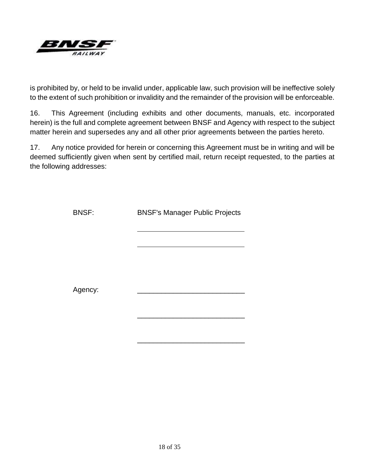

is prohibited by, or held to be invalid under, applicable law, such provision will be ineffective solely to the extent of such prohibition or invalidity and the remainder of the provision will be enforceable.

16. This Agreement (including exhibits and other documents, manuals, etc. incorporated herein) is the full and complete agreement between BNSF and Agency with respect to the subject matter herein and supersedes any and all other prior agreements between the parties hereto.

17. Any notice provided for herein or concerning this Agreement must be in writing and will be deemed sufficiently given when sent by certified mail, return receipt requested, to the parties at the following addresses:

| <b>BNSF:</b> | <b>BNSF's Manager Public Projects</b> |  |  |  |  |
|--------------|---------------------------------------|--|--|--|--|
|              |                                       |  |  |  |  |
|              |                                       |  |  |  |  |
|              |                                       |  |  |  |  |
| Agency:      |                                       |  |  |  |  |
|              |                                       |  |  |  |  |

\_\_\_\_\_\_\_\_\_\_\_\_\_\_\_\_\_\_\_\_\_\_\_\_\_\_\_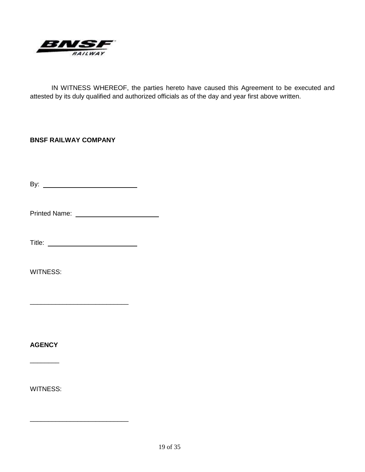

IN WITNESS WHEREOF, the parties hereto have caused this Agreement to be executed and attested by its duly qualified and authorized officials as of the day and year first above written.

## **BNSF RAILWAY COMPANY**

By:

Printed Name:

Title:

\_\_\_\_\_\_\_\_\_\_\_\_\_\_\_\_\_\_\_\_\_\_\_\_\_\_\_

\_\_\_\_\_\_\_\_\_\_\_\_\_\_\_\_\_\_\_\_\_\_\_\_\_\_\_

WITNESS:

**AGENCY**

 $\overline{\phantom{a}}$ 

WITNESS: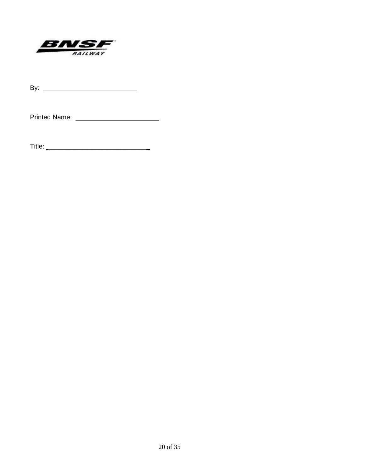

By:

Printed Name:

Title: \_\_\_\_\_\_\_\_\_\_\_\_\_\_\_\_\_\_\_\_\_\_\_\_\_\_\_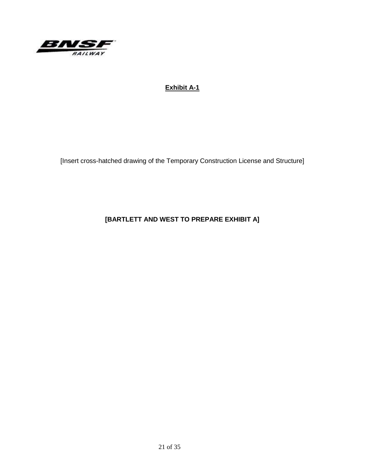

## **Exhibit A-1**

[Insert cross-hatched drawing of the Temporary Construction License and Structure]

**[BARTLETT AND WEST TO PREPARE EXHIBIT A]**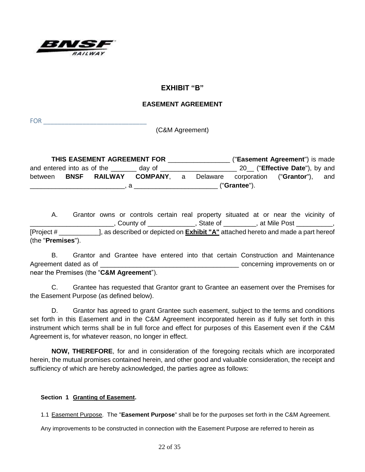

## **EXHIBIT "B"**

#### **EASEMENT AGREEMENT**

FOR \_\_\_\_\_\_\_\_\_\_\_\_\_\_\_\_\_\_\_\_\_\_\_\_\_\_\_\_\_

(C&M Agreement)

**THIS EASEMENT AGREEMENT FOR** \_\_\_\_\_\_\_\_\_\_\_\_\_\_\_\_\_ ("**Easement Agreement**") is made and entered into as of the day of **and the set of the set of the day of the set of the set of the set of the set of the set of the set of the set of the set of the set of the set of the set of the set of the set of the set** between **BNSF RAILWAY COMPANY**, a Delaware corporation ("**Grantor**"), and \_\_\_\_\_\_\_\_\_\_\_\_\_\_\_\_\_\_\_\_\_\_\_\_\_\_, a \_\_\_\_\_\_\_\_\_\_\_\_\_\_\_\_\_\_\_\_\_\_\_ ("**Grantee**").

A. Grantor owns or controls certain real property situated at or near the vicinity of \_\_\_\_\_\_\_\_\_\_\_\_\_\_\_\_\_\_\_\_\_\_\_, County of \_\_\_\_\_\_\_\_\_\_\_\_\_, State of \_\_\_\_\_\_\_\_\_, at Mile Post \_\_\_\_\_\_\_\_\_\_, [Project # \_\_\_\_\_\_\_\_\_\_\_], as described or depicted on **Exhibit "A"** attached hereto and made a part hereof (the "**Premises**").

B. Grantor and Grantee have entered into that certain Construction and Maintenance Agreement dated as of \_\_\_\_\_\_\_\_\_\_\_\_\_\_\_\_\_\_\_\_\_\_\_\_\_\_\_\_\_\_\_\_\_\_\_\_\_\_ concerning improvements on or near the Premises (the "**C&M Agreement**").

C. Grantee has requested that Grantor grant to Grantee an easement over the Premises for the Easement Purpose (as defined below).

D. Grantor has agreed to grant Grantee such easement, subject to the terms and conditions set forth in this Easement and in the C&M Agreement incorporated herein as if fully set forth in this instrument which terms shall be in full force and effect for purposes of this Easement even if the C&M Agreement is, for whatever reason, no longer in effect.

**NOW, THEREFORE**, for and in consideration of the foregoing recitals which are incorporated herein, the mutual promises contained herein, and other good and valuable consideration, the receipt and sufficiency of which are hereby acknowledged, the parties agree as follows:

#### **Section 1 Granting of Easement.**

1.1 Easement Purpose. The "**Easement Purpose**" shall be for the purposes set forth in the C&M Agreement.

Any improvements to be constructed in connection with the Easement Purpose are referred to herein as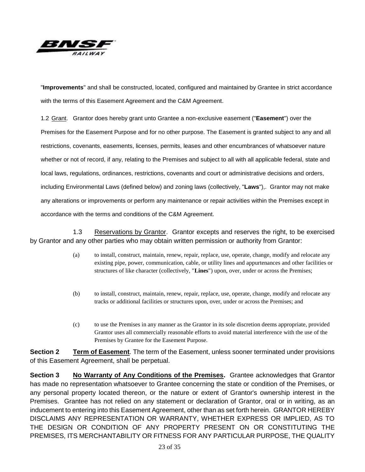

"**Improvements**" and shall be constructed, located, configured and maintained by Grantee in strict accordance with the terms of this Easement Agreement and the C&M Agreement.

1.2 Grant. Grantor does hereby grant unto Grantee a non-exclusive easement ("**Easement**") over the Premises for the Easement Purpose and for no other purpose. The Easement is granted subject to any and all restrictions, covenants, easements, licenses, permits, leases and other encumbrances of whatsoever nature whether or not of record, if any, relating to the Premises and subject to all with all applicable federal, state and local laws, regulations, ordinances, restrictions, covenants and court or administrative decisions and orders, including Environmental Laws (defined below) and zoning laws (collectively, "**Laws**"),. Grantor may not make any alterations or improvements or perform any maintenance or repair activities within the Premises except in accordance with the terms and conditions of the C&M Agreement.

1.3 Reservations by Grantor. Grantor excepts and reserves the right, to be exercised by Grantor and any other parties who may obtain written permission or authority from Grantor:

- (a) to install, construct, maintain, renew, repair, replace, use, operate, change, modify and relocate any existing pipe, power, communication, cable, or utility lines and appurtenances and other facilities or structures of like character (collectively, "**Lines**") upon, over, under or across the Premises;
- (b) to install, construct, maintain, renew, repair, replace, use, operate, change, modify and relocate any tracks or additional facilities or structures upon, over, under or across the Premises; and
- (c) to use the Premises in any manner as the Grantor in its sole discretion deems appropriate, provided Grantor uses all commercially reasonable efforts to avoid material interference with the use of the Premises by Grantee for the Easement Purpose.

**Section 2 Term of Easement**. The term of the Easement, unless sooner terminated under provisions of this Easement Agreement, shall be perpetual.

**Section 3 No Warranty of Any Conditions of the Premises.** Grantee acknowledges that Grantor has made no representation whatsoever to Grantee concerning the state or condition of the Premises, or any personal property located thereon, or the nature or extent of Grantor's ownership interest in the Premises. Grantee has not relied on any statement or declaration of Grantor, oral or in writing, as an inducement to entering into this Easement Agreement, other than as set forth herein. GRANTOR HEREBY DISCLAIMS ANY REPRESENTATION OR WARRANTY, WHETHER EXPRESS OR IMPLIED, AS TO THE DESIGN OR CONDITION OF ANY PROPERTY PRESENT ON OR CONSTITUTING THE PREMISES, ITS MERCHANTABILITY OR FITNESS FOR ANY PARTICULAR PURPOSE, THE QUALITY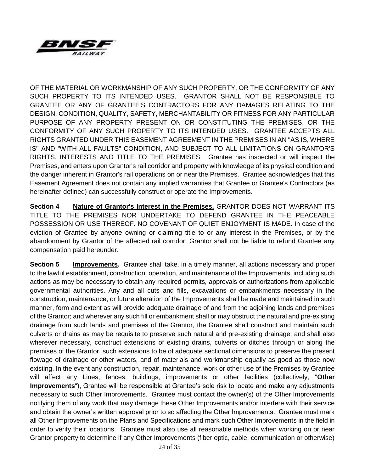

OF THE MATERIAL OR WORKMANSHIP OF ANY SUCH PROPERTY, OR THE CONFORMITY OF ANY SUCH PROPERTY TO ITS INTENDED USES. GRANTOR SHALL NOT BE RESPONSIBLE TO GRANTEE OR ANY OF GRANTEE'S CONTRACTORS FOR ANY DAMAGES RELATING TO THE DESIGN, CONDITION, QUALITY, SAFETY, MERCHANTABILITY OR FITNESS FOR ANY PARTICULAR PURPOSE OF ANY PROPERTY PRESENT ON OR CONSTITUTING THE PREMISES, OR THE CONFORMITY OF ANY SUCH PROPERTY TO ITS INTENDED USES. GRANTEE ACCEPTS ALL RIGHTS GRANTED UNDER THIS EASEMENT AGREEMENT IN THE PREMISES IN AN "AS IS, WHERE IS" AND "WITH ALL FAULTS" CONDITION, AND SUBJECT TO ALL LIMITATIONS ON GRANTOR'S RIGHTS, INTERESTS AND TITLE TO THE PREMISES. Grantee has inspected or will inspect the Premises, and enters upon Grantor's rail corridor and property with knowledge of its physical condition and the danger inherent in Grantor's rail operations on or near the Premises. Grantee acknowledges that this Easement Agreement does not contain any implied warranties that Grantee or Grantee's Contractors (as hereinafter defined) can successfully construct or operate the Improvements.

**Section 4 Nature of Grantor's Interest in the Premises.** GRANTOR DOES NOT WARRANT ITS TITLE TO THE PREMISES NOR UNDERTAKE TO DEFEND GRANTEE IN THE PEACEABLE POSSESSION OR USE THEREOF. NO COVENANT OF QUIET ENJOYMENT IS MADE. In case of the eviction of Grantee by anyone owning or claiming title to or any interest in the Premises, or by the abandonment by Grantor of the affected rail corridor, Grantor shall not be liable to refund Grantee any compensation paid hereunder.

**Section 5 Improvements.** Grantee shall take, in a timely manner, all actions necessary and proper to the lawful establishment, construction, operation, and maintenance of the Improvements, including such actions as may be necessary to obtain any required permits, approvals or authorizations from applicable governmental authorities. Any and all cuts and fills, excavations or embankments necessary in the construction, maintenance, or future alteration of the Improvements shall be made and maintained in such manner, form and extent as will provide adequate drainage of and from the adjoining lands and premises of the Grantor; and wherever any such fill or embankment shall or may obstruct the natural and pre-existing drainage from such lands and premises of the Grantor, the Grantee shall construct and maintain such culverts or drains as may be requisite to preserve such natural and pre-existing drainage, and shall also wherever necessary, construct extensions of existing drains, culverts or ditches through or along the premises of the Grantor, such extensions to be of adequate sectional dimensions to preserve the present flowage of drainage or other waters, and of materials and workmanship equally as good as those now existing. In the event any construction, repair, maintenance, work or other use of the Premises by Grantee will affect any Lines, fences, buildings, improvements or other facilities (collectively, "**Other Improvements**"), Grantee will be responsible at Grantee's sole risk to locate and make any adjustments necessary to such Other Improvements. Grantee must contact the owner(s) of the Other Improvements notifying them of any work that may damage these Other Improvements and/or interfere with their service and obtain the owner's written approval prior to so affecting the Other Improvements. Grantee must mark all Other Improvements on the Plans and Specifications and mark such Other Improvements in the field in order to verify their locations. Grantee must also use all reasonable methods when working on or near Grantor property to determine if any Other Improvements (fiber optic, cable, communication or otherwise)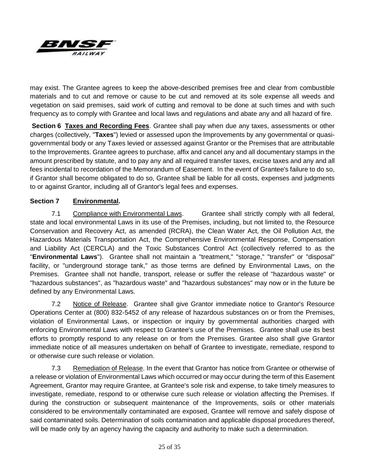

may exist. The Grantee agrees to keep the above-described premises free and clear from combustible materials and to cut and remove or cause to be cut and removed at its sole expense all weeds and vegetation on said premises, said work of cutting and removal to be done at such times and with such frequency as to comply with Grantee and local laws and regulations and abate any and all hazard of fire.

**Section 6 Taxes and Recording Fees**. Grantee shall pay when due any taxes, assessments or other charges (collectively, "**Taxes**") levied or assessed upon the Improvements by any governmental or quasigovernmental body or any Taxes levied or assessed against Grantor or the Premises that are attributable to the Improvements. Grantee agrees to purchase, affix and cancel any and all documentary stamps in the amount prescribed by statute, and to pay any and all required transfer taxes, excise taxes and any and all fees incidental to recordation of the Memorandum of Easement. In the event of Grantee's failure to do so, if Grantor shall become obligated to do so, Grantee shall be liable for all costs, expenses and judgments to or against Grantor, including all of Grantor's legal fees and expenses.

## **Section 7 Environmental.**

7.1 Compliance with Environmental Laws. Grantee shall strictly comply with all federal, state and local environmental Laws in its use of the Premises, including, but not limited to, the Resource Conservation and Recovery Act, as amended (RCRA), the Clean Water Act, the Oil Pollution Act, the Hazardous Materials Transportation Act, the Comprehensive Environmental Response, Compensation and Liability Act (CERCLA) and the Toxic Substances Control Act (collectively referred to as the "**Environmental Laws**"). Grantee shall not maintain a "treatment," "storage," "transfer" or "disposal" facility, or "underground storage tank," as those terms are defined by Environmental Laws, on the Premises. Grantee shall not handle, transport, release or suffer the release of "hazardous waste" or "hazardous substances", as "hazardous waste" and "hazardous substances" may now or in the future be defined by any Environmental Laws.

7.2 Notice of Release. Grantee shall give Grantor immediate notice to Grantor's Resource Operations Center at (800) 832-5452 of any release of hazardous substances on or from the Premises, violation of Environmental Laws, or inspection or inquiry by governmental authorities charged with enforcing Environmental Laws with respect to Grantee's use of the Premises. Grantee shall use its best efforts to promptly respond to any release on or from the Premises. Grantee also shall give Grantor immediate notice of all measures undertaken on behalf of Grantee to investigate, remediate, respond to or otherwise cure such release or violation.

7.3 Remediation of Release. In the event that Grantor has notice from Grantee or otherwise of a release or violation of Environmental Laws which occurred or may occur during the term of this Easement Agreement, Grantor may require Grantee, at Grantee's sole risk and expense, to take timely measures to investigate, remediate, respond to or otherwise cure such release or violation affecting the Premises. If during the construction or subsequent maintenance of the Improvements, soils or other materials considered to be environmentally contaminated are exposed, Grantee will remove and safely dispose of said contaminated soils. Determination of soils contamination and applicable disposal procedures thereof, will be made only by an agency having the capacity and authority to make such a determination.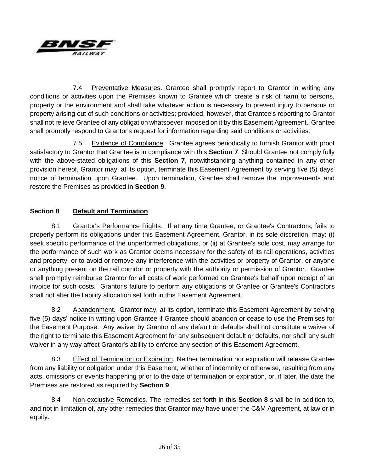

7.4 Preventative Measures. Grantee shall promptly report to Grantor in writing any conditions or activities upon the Premises known to Grantee which create a risk of harm to persons, property or the environment and shall take whatever action is necessary to prevent injury to persons or property arising out of such conditions or activities; provided, however, that Grantee's reporting to Grantor shall not relieve Grantee of any obligation whatsoever imposed on it by this Easement Agreement. Grantee shall promptly respond to Grantor's request for information regarding said conditions or activities.

7.5 Evidence of Compliance. Grantee agrees periodically to furnish Grantor with proof satisfactory to Grantor that Grantee is in compliance with this **Section 7**. Should Grantee not comply fully with the above-stated obligations of this **Section 7**, notwithstanding anything contained in any other provision hereof, Grantor may, at its option, terminate this Easement Agreement by serving five (5) days' notice of termination upon Grantee. Upon termination, Grantee shall remove the Improvements and restore the Premises as provided in **Section 9**.

## **Section 8 Default and Termination**.

8.1 Grantor's Performance Rights. If at any time Grantee, or Grantee's Contractors, fails to properly perform its obligations under this Easement Agreement, Grantor, in its sole discretion, may: (i) seek specific performance of the unperformed obligations, or (ii) at Grantee's sole cost, may arrange for the performance of such work as Grantor deems necessary for the safety of its rail operations, activities and property, or to avoid or remove any interference with the activities or property of Grantor, or anyone or anything present on the rail corridor or property with the authority or permission of Grantor. Grantee shall promptly reimburse Grantor for all costs of work performed on Grantee's behalf upon receipt of an invoice for such costs. Grantor's failure to perform any obligations of Grantee or Grantee's Contractors shall not alter the liability allocation set forth in this Easement Agreement.

8.2 Abandonment. Grantor may, at its option, terminate this Easement Agreement by serving five (5) days' notice in writing upon Grantee if Grantee should abandon or cease to use the Premises for the Easement Purpose. Any waiver by Grantor of any default or defaults shall not constitute a waiver of the right to terminate this Easement Agreement for any subsequent default or defaults, nor shall any such waiver in any way affect Grantor's ability to enforce any section of this Easement Agreement.

8.3 Effect of Termination or Expiration. Neither termination nor expiration will release Grantee from any liability or obligation under this Easement, whether of indemnity or otherwise, resulting from any acts, omissions or events happening prior to the date of termination or expiration, or, if later, the date the Premises are restored as required by **Section 9**.

8.4 Non-exclusive Remedies. The remedies set forth in this **Section 8** shall be in addition to, and not in limitation of, any other remedies that Grantor may have under the C&M Agreement, at law or in equity.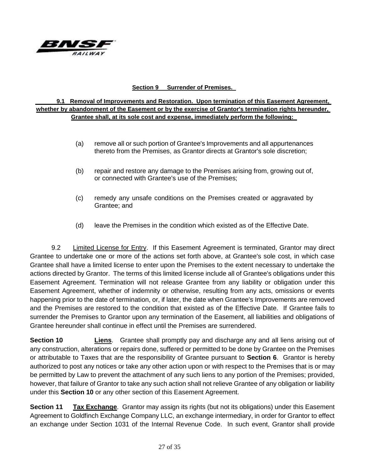

#### **Section 9 Surrender of Premises.**

#### **9.1 Removal of Improvements and Restoration. Upon termination of this Easement Agreement, whether by abandonment of the Easement or by the exercise of Grantor's termination rights hereunder, Grantee shall, at its sole cost and expense, immediately perform the following:**

- (a) remove all or such portion of Grantee's Improvements and all appurtenances thereto from the Premises, as Grantor directs at Grantor's sole discretion;
- (b) repair and restore any damage to the Premises arising from, growing out of, or connected with Grantee's use of the Premises;
- (c) remedy any unsafe conditions on the Premises created or aggravated by Grantee; and
- (d) leave the Premises in the condition which existed as of the Effective Date.

9.2 Limited License for Entry. If this Easement Agreement is terminated, Grantor may direct Grantee to undertake one or more of the actions set forth above, at Grantee's sole cost, in which case Grantee shall have a limited license to enter upon the Premises to the extent necessary to undertake the actions directed by Grantor. The terms of this limited license include all of Grantee's obligations under this Easement Agreement. Termination will not release Grantee from any liability or obligation under this Easement Agreement, whether of indemnity or otherwise, resulting from any acts, omissions or events happening prior to the date of termination, or, if later, the date when Grantee's Improvements are removed and the Premises are restored to the condition that existed as of the Effective Date. If Grantee fails to surrender the Premises to Grantor upon any termination of the Easement, all liabilities and obligations of Grantee hereunder shall continue in effect until the Premises are surrendered.

**Section 10 Liens**. Grantee shall promptly pay and discharge any and all liens arising out of any construction, alterations or repairs done, suffered or permitted to be done by Grantee on the Premises or attributable to Taxes that are the responsibility of Grantee pursuant to **Section 6**. Grantor is hereby authorized to post any notices or take any other action upon or with respect to the Premises that is or may be permitted by Law to prevent the attachment of any such liens to any portion of the Premises; provided, however, that failure of Grantor to take any such action shall not relieve Grantee of any obligation or liability under this **Section 10** or any other section of this Easement Agreement.

**Section 11 Tax Exchange**. Grantor may assign its rights (but not its obligations) under this Easement Agreement to Goldfinch Exchange Company LLC, an exchange intermediary, in order for Grantor to effect an exchange under Section 1031 of the Internal Revenue Code. In such event, Grantor shall provide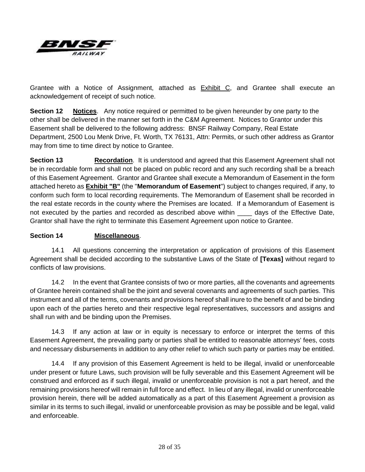

Grantee with a Notice of Assignment, attached as Exhibit C, and Grantee shall execute an acknowledgement of receipt of such notice.

**Section 12 Notices**. Any notice required or permitted to be given hereunder by one party to the other shall be delivered in the manner set forth in the C&M Agreement. Notices to Grantor under this Easement shall be delivered to the following address: BNSF Railway Company, Real Estate Department, 2500 Lou Menk Drive, Ft. Worth, TX 76131, Attn: Permits, or such other address as Grantor may from time to time direct by notice to Grantee.

**Section 13 Recordation**. It is understood and agreed that this Easement Agreement shall not be in recordable form and shall not be placed on public record and any such recording shall be a breach of this Easement Agreement. Grantor and Grantee shall execute a Memorandum of Easement in the form attached hereto as **Exhibit "B"** (the "**Memorandum of Easement**") subject to changes required, if any, to conform such form to local recording requirements. The Memorandum of Easement shall be recorded in the real estate records in the county where the Premises are located. If a Memorandum of Easement is not executed by the parties and recorded as described above within \_\_\_\_\_ days of the Effective Date, Grantor shall have the right to terminate this Easement Agreement upon notice to Grantee.

## **Section 14 Miscellaneous**.

14.1 All questions concerning the interpretation or application of provisions of this Easement Agreement shall be decided according to the substantive Laws of the State of **[Texas]** without regard to conflicts of law provisions.

14.2 In the event that Grantee consists of two or more parties, all the covenants and agreements of Grantee herein contained shall be the joint and several covenants and agreements of such parties. This instrument and all of the terms, covenants and provisions hereof shall inure to the benefit of and be binding upon each of the parties hereto and their respective legal representatives, successors and assigns and shall run with and be binding upon the Premises.

14.3 If any action at law or in equity is necessary to enforce or interpret the terms of this Easement Agreement, the prevailing party or parties shall be entitled to reasonable attorneys' fees, costs and necessary disbursements in addition to any other relief to which such party or parties may be entitled.

14.4 If any provision of this Easement Agreement is held to be illegal, invalid or unenforceable under present or future Laws, such provision will be fully severable and this Easement Agreement will be construed and enforced as if such illegal, invalid or unenforceable provision is not a part hereof, and the remaining provisions hereof will remain in full force and effect. In lieu of any illegal, invalid or unenforceable provision herein, there will be added automatically as a part of this Easement Agreement a provision as similar in its terms to such illegal, invalid or unenforceable provision as may be possible and be legal, valid and enforceable.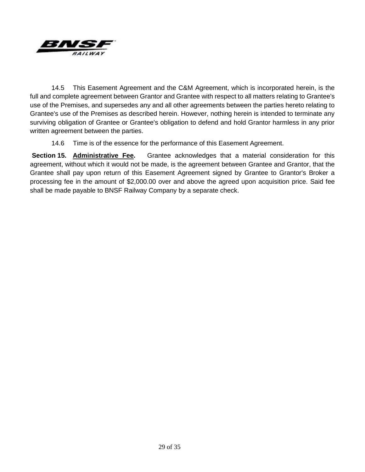

14.5 This Easement Agreement and the C&M Agreement, which is incorporated herein, is the full and complete agreement between Grantor and Grantee with respect to all matters relating to Grantee's use of the Premises, and supersedes any and all other agreements between the parties hereto relating to Grantee's use of the Premises as described herein. However, nothing herein is intended to terminate any surviving obligation of Grantee or Grantee's obligation to defend and hold Grantor harmless in any prior written agreement between the parties.

14.6 Time is of the essence for the performance of this Easement Agreement.

**Section 15. Administrative Fee.** Grantee acknowledges that a material consideration for this agreement, without which it would not be made, is the agreement between Grantee and Grantor, that the Grantee shall pay upon return of this Easement Agreement signed by Grantee to Grantor's Broker a processing fee in the amount of \$2,000.00 over and above the agreed upon acquisition price. Said fee shall be made payable to BNSF Railway Company by a separate check.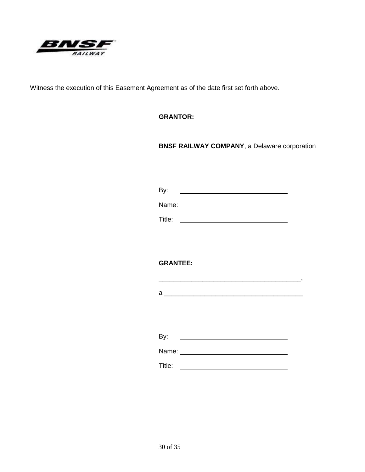

Witness the execution of this Easement Agreement as of the date first set forth above.

**GRANTOR:**

**BNSF RAILWAY COMPANY**, a Delaware corporation

By: <u> 1980 - Andrea Brand, Amerikaansk politiker (</u>

Name: when the contract of the contract of the contract of the contract of the contract of the contract of the contract of the contract of the contract of the contract of the contract of the contract of the contract of the

Title: <u>\_\_\_\_\_\_\_\_\_\_\_\_\_\_\_\_\_\_\_\_\_\_\_\_\_\_\_\_\_\_\_\_\_\_</u>

**GRANTEE:**

a \_\_\_\_\_\_\_\_\_\_\_\_\_\_\_\_\_\_\_\_\_\_\_\_\_\_\_\_\_\_\_\_\_\_\_\_\_\_

\_\_\_\_\_\_\_\_\_\_\_\_\_\_\_\_\_\_\_\_\_\_\_\_\_\_\_\_\_\_\_\_\_\_\_\_\_\_\_,

By: Name:

Title: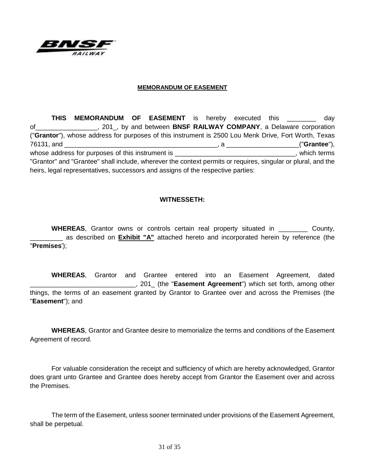

#### **MEMORANDUM OF EASEMENT**

**THIS MEMORANDUM OF EASEMENT** is hereby executed this **the set of the contract of the set of the contract of the contract of the contract of the contract of the contract of the contract of the contract of the contract of t** of\_\_\_\_\_\_\_\_\_\_\_\_\_\_\_\_\_, 201\_, by and between **BNSF RAILWAY COMPANY**, a Delaware corporation ("**Grantor**"), whose address for purposes of this instrument is 2500 Lou Menk Drive, Fort Worth, Texas 76131, and \_\_\_\_\_\_\_\_\_\_\_\_\_\_\_\_\_\_\_\_\_\_\_\_\_\_\_\_\_\_\_\_\_\_\_\_\_\_\_\_\_\_, a \_\_\_\_\_\_\_\_\_\_\_\_\_\_\_\_\_\_\_\_("**Grantee**"), whose address for purposes of this instrument is example the state of the state of the state of this instrument is "Grantor" and "Grantee" shall include, wherever the context permits or requires, singular or plural, and the heirs, legal representatives, successors and assigns of the respective parties:

#### **WITNESSETH:**

**WHEREAS**, Grantor owns or controls certain real property situated in \_\_\_\_\_\_\_\_ County, as described on **Exhibit "A"** attached hereto and incorporated herein by reference (the "**Premises**');

**WHEREAS**, Grantor and Grantee entered into an Easement Agreement, dated \_\_\_\_\_\_\_\_\_\_\_\_\_\_\_\_\_\_\_\_\_\_\_\_\_\_\_\_\_, 201\_ (the "**Easement Agreement**") which set forth, among other things, the terms of an easement granted by Grantor to Grantee over and across the Premises (the "**Easement**"); and

**WHEREAS**, Grantor and Grantee desire to memorialize the terms and conditions of the Easement Agreement of record.

For valuable consideration the receipt and sufficiency of which are hereby acknowledged, Grantor does grant unto Grantee and Grantee does hereby accept from Grantor the Easement over and across the Premises.

The term of the Easement, unless sooner terminated under provisions of the Easement Agreement, shall be perpetual.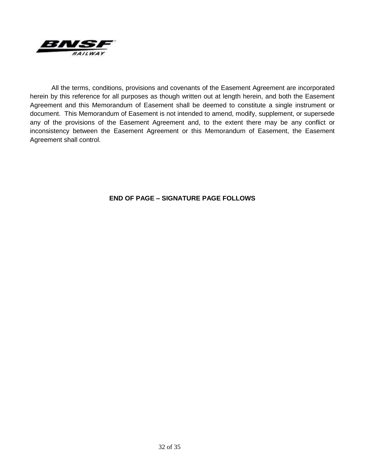

All the terms, conditions, provisions and covenants of the Easement Agreement are incorporated herein by this reference for all purposes as though written out at length herein, and both the Easement Agreement and this Memorandum of Easement shall be deemed to constitute a single instrument or document. This Memorandum of Easement is not intended to amend, modify, supplement, or supersede any of the provisions of the Easement Agreement and, to the extent there may be any conflict or inconsistency between the Easement Agreement or this Memorandum of Easement, the Easement Agreement shall control.

## **END OF PAGE – SIGNATURE PAGE FOLLOWS**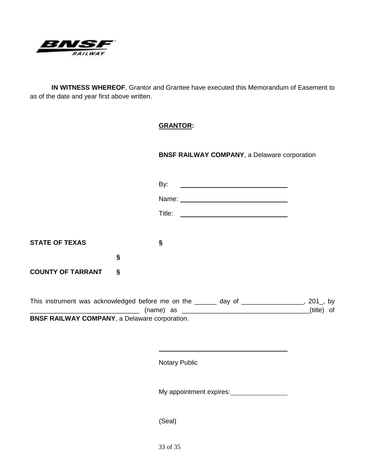

**IN WITNESS WHEREOF**, Grantor and Grantee have executed this Memorandum of Easement to as of the date and year first above written.

# **GRANTOR:**

**BNSF RAILWAY COMPANY**, a Delaware corporation

|                                                                                   |   | By: |  |            |
|-----------------------------------------------------------------------------------|---|-----|--|------------|
|                                                                                   |   |     |  |            |
|                                                                                   |   |     |  |            |
|                                                                                   |   |     |  |            |
| <b>STATE OF TEXAS</b>                                                             |   | §   |  |            |
|                                                                                   | § |     |  |            |
| <b>COUNTY OF TARRANT</b>                                                          | Ŝ |     |  |            |
| This instrument was acknowledged before me on the ______ day of ________________, |   |     |  | $201$ , by |
|                                                                                   |   |     |  | (title) of |

**BNSF RAILWAY COMPANY**, a Delaware corporation.

Notary Public

My appointment expires:<br>
<u>My appointment expires:</u>

(Seal)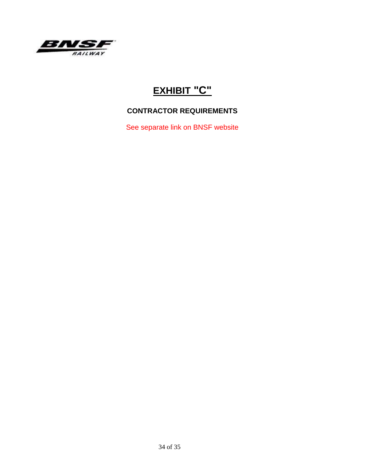

# **EXHIBIT "C"**

# **CONTRACTOR REQUIREMENTS**

See separate link on BNSF website